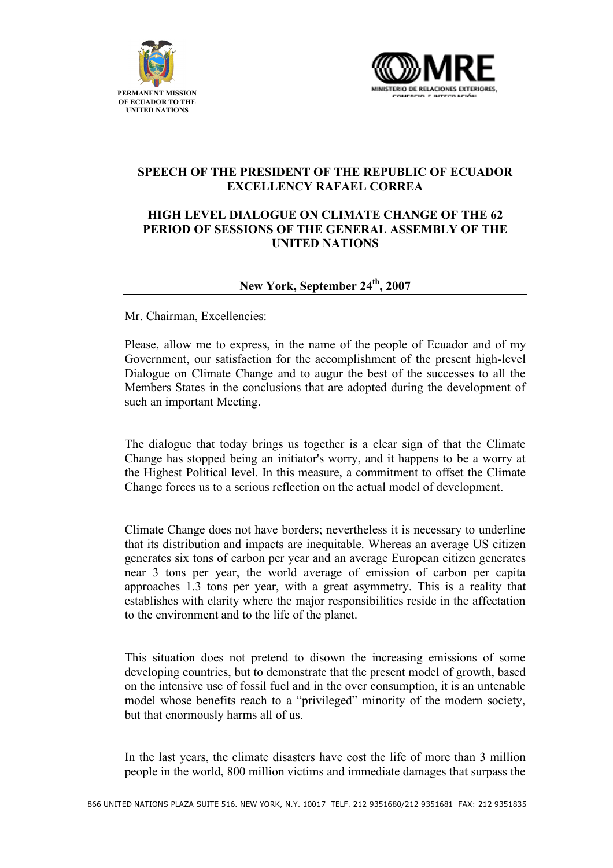



## **SPEECH OF THE PRESIDENT OF THE REPUBLIC OF ECUADOR EXCELLENCY RAFAEL CORREA**

## **HIGH LEVEL DIALOGUE ON CLIMATE CHANGE OF THE 62 PERIOD OF SESSIONS OF THE GENERAL ASSEMBLY OF THE UNITED NATIONS**

## **New York, September 24th, 2007**

Mr. Chairman, Excellencies:

Please, allow me to express, in the name of the people of Ecuador and of my Government, our satisfaction for the accomplishment of the present high-level Dialogue on Climate Change and to augur the best of the successes to all the Members States in the conclusions that are adopted during the development of such an important Meeting.

The dialogue that today brings us together is a clear sign of that the Climate Change has stopped being an initiator's worry, and it happens to be a worry at the Highest Political level. In this measure, a commitment to offset the Climate Change forces us to a serious reflection on the actual model of development.

Climate Change does not have borders; nevertheless it is necessary to underline that its distribution and impacts are inequitable. Whereas an average US citizen generates six tons of carbon per year and an average European citizen generates near 3 tons per year, the world average of emission of carbon per capita approaches 1.3 tons per year, with a great asymmetry. This is a reality that establishes with clarity where the major responsibilities reside in the affectation to the environment and to the life of the planet.

This situation does not pretend to disown the increasing emissions of some developing countries, but to demonstrate that the present model of growth, based on the intensive use of fossil fuel and in the over consumption, it is an untenable model whose benefits reach to a "privileged" minority of the modern society, but that enormously harms all of us.

In the last years, the climate disasters have cost the life of more than 3 million people in the world, 800 million victims and immediate damages that surpass the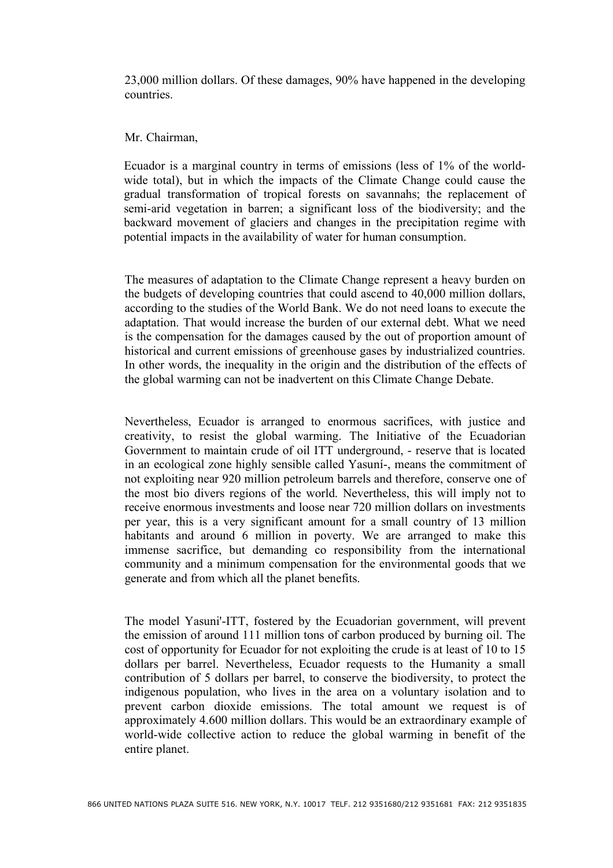23,000 million dollars. Of these damages, 90% have happened in the developing countries.

## Mr. Chairman,

Ecuador is a marginal country in terms of emissions (less of 1% of the worldwide total), but in which the impacts of the Climate Change could cause the gradual transformation of tropical forests on savannahs; the replacement of semi-arid vegetation in barren; a significant loss of the biodiversity; and the backward movement of glaciers and changes in the precipitation regime with potential impacts in the availability of water for human consumption.

The measures of adaptation to the Climate Change represent a heavy burden on the budgets of developing countries that could ascend to 40,000 million dollars, according to the studies of the World Bank. We do not need loans to execute the adaptation. That would increase the burden of our external debt. What we need is the compensation for the damages caused by the out of proportion amount of historical and current emissions of greenhouse gases by industrialized countries. In other words, the inequality in the origin and the distribution of the effects of the global warming can not be inadvertent on this Climate Change Debate.

Nevertheless, Ecuador is arranged to enormous sacrifices, with justice and creativity, to resist the global warming. The Initiative of the Ecuadorian Government to maintain crude of oil ITT underground, - reserve that is located in an ecological zone highly sensible called Yasuní-, means the commitment of not exploiting near 920 million petroleum barrels and therefore, conserve one of the most bio divers regions of the world. Nevertheless, this will imply not to receive enormous investments and loose near 720 million dollars on investments per year, this is a very significant amount for a small country of 13 million habitants and around 6 million in poverty. We are arranged to make this immense sacrifice, but demanding co responsibility from the international community and a minimum compensation for the environmental goods that we generate and from which all the planet benefits.

The model Yasuni'-ITT, fostered by the Ecuadorian government, will prevent the emission of around 111 million tons of carbon produced by burning oil. The cost of opportunity for Ecuador for not exploiting the crude is at least of 10 to 15 dollars per barrel. Nevertheless, Ecuador requests to the Humanity a small contribution of 5 dollars per barrel, to conserve the biodiversity, to protect the indigenous population, who lives in the area on a voluntary isolation and to prevent carbon dioxide emissions. The total amount we request is of approximately 4.600 million dollars. This would be an extraordinary example of world-wide collective action to reduce the global warming in benefit of the entire planet.